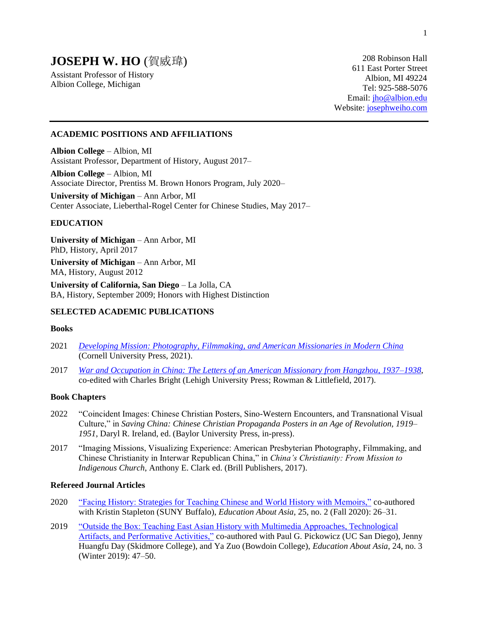# **JOSEPH W. HO** (賀威瑋)

Assistant Professor of History Albion College, Michigan

208 Robinson Hall 611 East Porter Street Albion, MI 49224 Tel: 925-588-5076 Email: [jho@albion.edu](mailto:jho@albion.edu) Website: [josephweiho.com](https://josephweiho.com/)

### **ACADEMIC POSITIONS AND AFFILIATIONS**

**Albion College** – Albion, MI Assistant Professor, Department of History, August 2017–

**Albion College** – Albion, MI Associate Director, Prentiss M. Brown Honors Program, July 2020–

**University of Michigan** – Ann Arbor, MI Center Associate, Lieberthal-Rogel Center for Chinese Studies, May 2017–

# **EDUCATION**

**University of Michigan** – Ann Arbor, MI PhD, History, April 2017 **University of Michigan** – Ann Arbor, MI

MA, History, August 2012

**University of California, San Diego** – La Jolla, CA BA, History, September 2009; Honors with Highest Distinction

### **SELECTED ACADEMIC PUBLICATIONS**

### **Books**

- 2021 *[Developing Mission: Photography, Filmmaking, and American Missionaries in Modern China](https://www.cornellpress.cornell.edu/book/9781501761850/developing-mission/#bookTabs=1)* (Cornell University Press, 2021).
- 2017 *[War and Occupation in China: The Letters of an American Missionary from Hangzhou, 1937–1938](https://rowman.com/ISBN/9781611462319/War-and-Occupation-in-China-The-Letters-of-an-American-Missionary-from-Hangzhou-1937%E2%80%931938)*, co-edited with Charles Bright (Lehigh University Press; Rowman & Littlefield, 2017).

### **Book Chapters**

- 2022 "Coincident Images: Chinese Christian Posters, Sino-Western Encounters, and Transnational Visual Culture," in *Saving China: Chinese Christian Propaganda Posters in an Age of Revolution, 1919– 1951*, Daryl R. Ireland, ed. (Baylor University Press, in-press).
- 2017 "Imaging Missions, Visualizing Experience: American Presbyterian Photography, Filmmaking, and Chinese Christianity in Interwar Republican China," in *China's Christianity: From Mission to Indigenous Church*, Anthony E. Clark ed. (Brill Publishers, 2017).

## **Refereed Journal Articles**

- 2020 ["Facing History: Strategies for Teaching Chinese and World History with Memoirs,"](https://www.asianstudies.org/wp-content/uploads/strategies-for-teaching-chinese-and-world-history-with-memoirs.pdf) co-authored with Kristin Stapleton (SUNY Buffalo), *Education About Asia*, 25, no. 2 (Fall 2020): 26–31.
- 2019 "Outside the Box: Teaching East Asian History with Multimedia Approaches, Technological [Artifacts, and Performative Activities,"](https://www.asianstudies.org/wp-content/uploads/outside-the-box-teaching-east-asian-history-with-multimedia-approaches-technological-artifacts-and-performative-activities.pdf) co-authored with Paul G. Pickowicz (UC San Diego), Jenny Huangfu Day (Skidmore College), and Ya Zuo (Bowdoin College), *Education About Asia*, 24, no. 3 (Winter 2019): 47–50.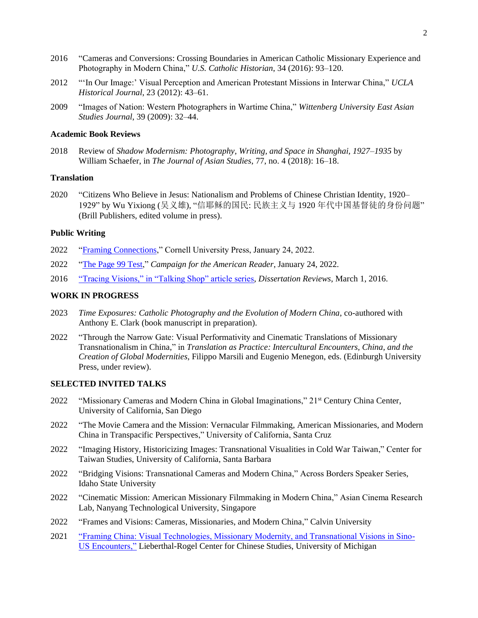- 2016 "Cameras and Conversions: Crossing Boundaries in American Catholic Missionary Experience and Photography in Modern China," *U.S. Catholic Historian*, 34 (2016): 93–120.
- 2012 "'In Our Image:' Visual Perception and American Protestant Missions in Interwar China," *UCLA Historical Journal*, 23 (2012): 43–61.
- 2009 "Images of Nation: Western Photographers in Wartime China," *Wittenberg University East Asian Studies Journal*, 39 (2009): 32–44.

#### **Academic Book Reviews**

2018 Review of *Shadow Modernism: Photography, Writing, and Space in Shanghai, 1927–1935* by William Schaefer, in *The Journal of Asian Studies*, 77, no. 4 (2018): 16–18.

### **Translation**

2020 "Citizens Who Believe in Jesus: Nationalism and Problems of Chinese Christian Identity, 1920– 1929" by Wu Yixiong (吴义雄), "信耶稣的国民: 民族主义与 1920 年代中国基督徒的身份问题" (Brill Publishers, edited volume in press).

#### **Public Writing**

- 2022 ["Framing Connections,](https://www.cornellpress.cornell.edu/framing-connections/)" Cornell University Press, January 24, 2022.
- 2022 ["The Page 99 Test,](https://page99test.blogspot.com/2022/01/joseph-w-hos-developing-mission.html)" *Campaign for the American Reader*, January 24, 2022.
- 2016 ["Tracing Visions," in "Talking Shop" article series,](http://dissertationreviews.org/tracing-visions/) *Dissertation Reviews*, March 1, 2016.

### **WORK IN PROGRESS**

- 2023 *Time Exposures: Catholic Photography and the Evolution of Modern China*, co-authored with Anthony E. Clark (book manuscript in preparation).
- 2022 "Through the Narrow Gate: Visual Performativity and Cinematic Translations of Missionary Transnationalism in China," in *Translation as Practice: Intercultural Encounters, China, and the Creation of Global Modernities*, Filippo Marsili and Eugenio Menegon, eds. (Edinburgh University Press, under review).

### **SELECTED INVITED TALKS**

- 2022 "Missionary Cameras and Modern China in Global Imaginations," 21<sup>st</sup> Century China Center, University of California, San Diego
- 2022 "The Movie Camera and the Mission: Vernacular Filmmaking, American Missionaries, and Modern China in Transpacific Perspectives," University of California, Santa Cruz
- 2022 "Imaging History, Historicizing Images: Transnational Visualities in Cold War Taiwan," Center for Taiwan Studies, University of California, Santa Barbara
- 2022 "Bridging Visions: Transnational Cameras and Modern China," Across Borders Speaker Series, Idaho State University
- 2022 "Cinematic Mission: American Missionary Filmmaking in Modern China," Asian Cinema Research Lab, Nanyang Technological University, Singapore
- 2022 "Frames and Visions: Cameras, Missionaries, and Modern China," Calvin University
- 2021 ["Framing China: Visual Technologies, Missionary Modernity, and Transnational Visions in Sino-](https://youtu.be/b0JkJxv8QEg)[US Encounters,"](https://youtu.be/b0JkJxv8QEg) Lieberthal-Rogel Center for Chinese Studies, University of Michigan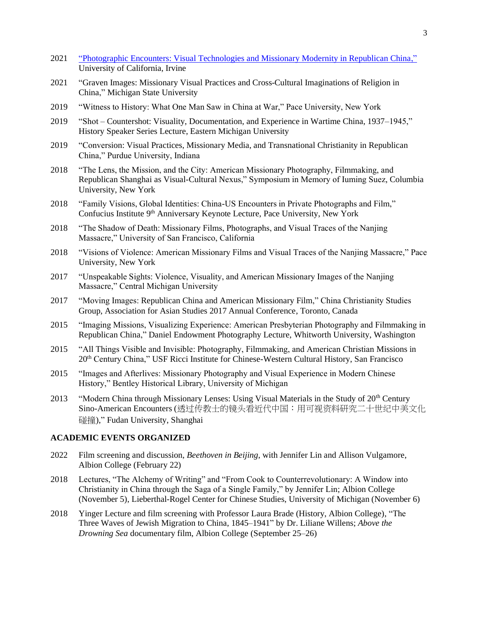- 2021 ["Photographic Encounters: Visual Technologies and Missionary Modernity in Republican China,"](https://www.youtube.com/watch?v=JMNGoH_Drsw&ab_channel=LongUS-ChinaInstitute) University of California, Irvine
- 2021 "Graven Images: Missionary Visual Practices and Cross-Cultural Imaginations of Religion in China," Michigan State University
- 2019 "Witness to History: What One Man Saw in China at War," Pace University, New York
- 2019 "Shot Countershot: Visuality, Documentation, and Experience in Wartime China, 1937–1945," History Speaker Series Lecture, Eastern Michigan University
- 2019 "Conversion: Visual Practices, Missionary Media, and Transnational Christianity in Republican China," Purdue University, Indiana
- 2018 "The Lens, the Mission, and the City: American Missionary Photography, Filmmaking, and Republican Shanghai as Visual-Cultural Nexus," Symposium in Memory of Iuming Suez, Columbia University, New York
- 2018 "Family Visions, Global Identities: China-US Encounters in Private Photographs and Film," Confucius Institute 9<sup>th</sup> Anniversary Keynote Lecture, Pace University, New York
- 2018 "The Shadow of Death: Missionary Films, Photographs, and Visual Traces of the Nanjing Massacre," University of San Francisco, California
- 2018 "Visions of Violence: American Missionary Films and Visual Traces of the Nanjing Massacre," Pace University, New York
- 2017 "Unspeakable Sights: Violence, Visuality, and American Missionary Images of the Nanjing Massacre," Central Michigan University
- 2017 "Moving Images: Republican China and American Missionary Film," China Christianity Studies Group, Association for Asian Studies 2017 Annual Conference, Toronto, Canada
- 2015 "Imaging Missions, Visualizing Experience: American Presbyterian Photography and Filmmaking in Republican China," Daniel Endowment Photography Lecture, Whitworth University, Washington
- 2015 "All Things Visible and Invisible: Photography, Filmmaking, and American Christian Missions in 20th Century China," USF Ricci Institute for Chinese-Western Cultural History, San Francisco
- 2015 "Images and Afterlives: Missionary Photography and Visual Experience in Modern Chinese History," Bentley Historical Library, University of Michigan
- 2013 "Modern China through Missionary Lenses: Using Visual Materials in the Study of 20<sup>th</sup> Century Sino-American Encounters (透过传教士的镜头看近代中国:用可视资料研究二十世纪中美文化 碰撞)," Fudan University, Shanghai

# **ACADEMIC EVENTS ORGANIZED**

- 2022 Film screening and discussion, *Beethoven in Beijing*, with Jennifer Lin and Allison Vulgamore, Albion College (February 22)
- 2018 Lectures, "The Alchemy of Writing" and "From Cook to Counterrevolutionary: A Window into Christianity in China through the Saga of a Single Family," by Jennifer Lin; Albion College (November 5), Lieberthal-Rogel Center for Chinese Studies, University of Michigan (November 6)
- 2018 Yinger Lecture and film screening with Professor Laura Brade (History, Albion College), "The Three Waves of Jewish Migration to China, 1845–1941" by Dr. Liliane Willens; *Above the Drowning Sea* documentary film, Albion College (September 25–26)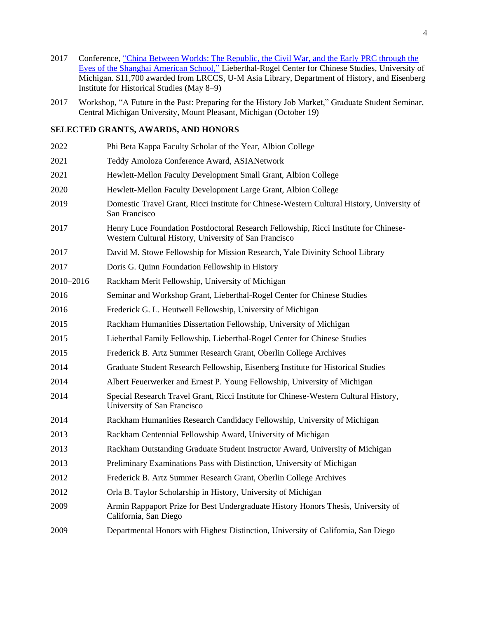- 2017 Conference, ["China Between Worlds: The Republic, the Civil War, and the Early](https://ii.umich.edu/lrccs/news-events/events/conferences/china-between-worlds.html) PRC through the [Eyes of the Shanghai American School,"](https://ii.umich.edu/lrccs/news-events/events/conferences/china-between-worlds.html) Lieberthal-Rogel Center for Chinese Studies, University of Michigan. \$11,700 awarded from LRCCS, U-M Asia Library, Department of History, and Eisenberg Institute for Historical Studies (May 8–9)
- Workshop, "A Future in the Past: Preparing for the History Job Market," Graduate Student Seminar, Central Michigan University, Mount Pleasant, Michigan (October 19)

# **SELECTED GRANTS, AWARDS, AND HONORS**

 Phi Beta Kappa Faculty Scholar of the Year, Albion College Teddy Amoloza Conference Award, ASIANetwork Hewlett-Mellon Faculty Development Small Grant, Albion College Hewlett-Mellon Faculty Development Large Grant, Albion College Domestic Travel Grant, Ricci Institute for Chinese-Western Cultural History, University of San Francisco Henry Luce Foundation Postdoctoral Research Fellowship, Ricci Institute for Chinese-Western Cultural History, University of San Francisco David M. Stowe Fellowship for Mission Research, Yale Divinity School Library Doris G. Quinn Foundation Fellowship in History 2010–2016 Rackham Merit Fellowship, University of Michigan Seminar and Workshop Grant, Lieberthal-Rogel Center for Chinese Studies 2016 Frederick G. L. Heutwell Fellowship, University of Michigan Rackham Humanities Dissertation Fellowship, University of Michigan Lieberthal Family Fellowship, Lieberthal-Rogel Center for Chinese Studies Frederick B. Artz Summer Research Grant, Oberlin College Archives Graduate Student Research Fellowship, Eisenberg Institute for Historical Studies Albert Feuerwerker and Ernest P. Young Fellowship, University of Michigan Special Research Travel Grant, Ricci Institute for Chinese-Western Cultural History, University of San Francisco Rackham Humanities Research Candidacy Fellowship, University of Michigan Rackham Centennial Fellowship Award, University of Michigan Rackham Outstanding Graduate Student Instructor Award, University of Michigan Preliminary Examinations Pass with Distinction, University of Michigan Frederick B. Artz Summer Research Grant, Oberlin College Archives Orla B. Taylor Scholarship in History, University of Michigan Armin Rappaport Prize for Best Undergraduate History Honors Thesis, University of California, San Diego Departmental Honors with Highest Distinction, University of California, San Diego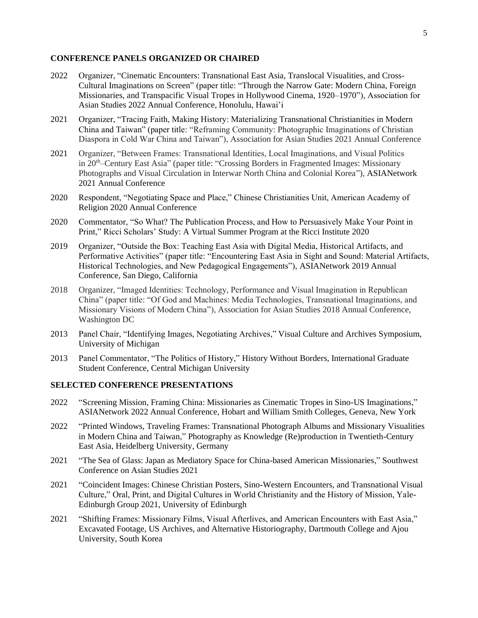### **CONFERENCE PANELS ORGANIZED OR CHAIRED**

- 2022 Organizer, "Cinematic Encounters: Transnational East Asia, Translocal Visualities, and Cross-Cultural Imaginations on Screen" (paper title: "Through the Narrow Gate: Modern China, Foreign Missionaries, and Transpacific Visual Tropes in Hollywood Cinema, 1920–1970"), Association for Asian Studies 2022 Annual Conference, Honolulu, Hawai'i
- 2021 Organizer, "Tracing Faith, Making History: Materializing Transnational Christianities in Modern China and Taiwan" (paper title: "Reframing Community: Photographic Imaginations of Christian Diaspora in Cold War China and Taiwan"), Association for Asian Studies 2021 Annual Conference
- 2021 Organizer, "Between Frames: Transnational Identities, Local Imaginations, and Visual Politics in 20th–Century East Asia" (paper title: "Crossing Borders in Fragmented Images: Missionary Photographs and Visual Circulation in Interwar North China and Colonial Korea"), ASIANetwork 2021 Annual Conference
- 2020 Respondent, "Negotiating Space and Place," Chinese Christianities Unit, American Academy of Religion 2020 Annual Conference
- 2020 Commentator, "So What? The Publication Process, and How to Persuasively Make Your Point in Print," Ricci Scholars' Study: A Virtual Summer Program at the Ricci Institute 2020
- 2019 Organizer, "Outside the Box: Teaching East Asia with Digital Media, Historical Artifacts, and Performative Activities" (paper title: "Encountering East Asia in Sight and Sound: Material Artifacts, Historical Technologies, and New Pedagogical Engagements"), ASIANetwork 2019 Annual Conference, San Diego, California
- 2018 Organizer, "Imaged Identities: Technology, Performance and Visual Imagination in Republican China" (paper title: "Of God and Machines: Media Technologies, Transnational Imaginations, and Missionary Visions of Modern China"), Association for Asian Studies 2018 Annual Conference, Washington DC
- 2013 Panel Chair, "Identifying Images, Negotiating Archives," Visual Culture and Archives Symposium, University of Michigan
- 2013 Panel Commentator, "The Politics of History," History Without Borders, International Graduate Student Conference, Central Michigan University

### **SELECTED CONFERENCE PRESENTATIONS**

- 2022 "Screening Mission, Framing China: Missionaries as Cinematic Tropes in Sino-US Imaginations," ASIANetwork 2022 Annual Conference, Hobart and William Smith Colleges, Geneva, New York
- 2022 "Printed Windows, Traveling Frames: Transnational Photograph Albums and Missionary Visualities in Modern China and Taiwan," Photography as Knowledge (Re)production in Twentieth-Century East Asia, Heidelberg University, Germany
- 2021 "The Sea of Glass: Japan as Mediatory Space for China-based American Missionaries," Southwest Conference on Asian Studies 2021
- 2021 "Coincident Images: Chinese Christian Posters, Sino-Western Encounters, and Transnational Visual Culture," Oral, Print, and Digital Cultures in World Christianity and the History of Mission, Yale-Edinburgh Group 2021, University of Edinburgh
- 2021 "Shifting Frames: Missionary Films, Visual Afterlives, and American Encounters with East Asia," Excavated Footage, US Archives, and Alternative Historiography, Dartmouth College and Ajou University, South Korea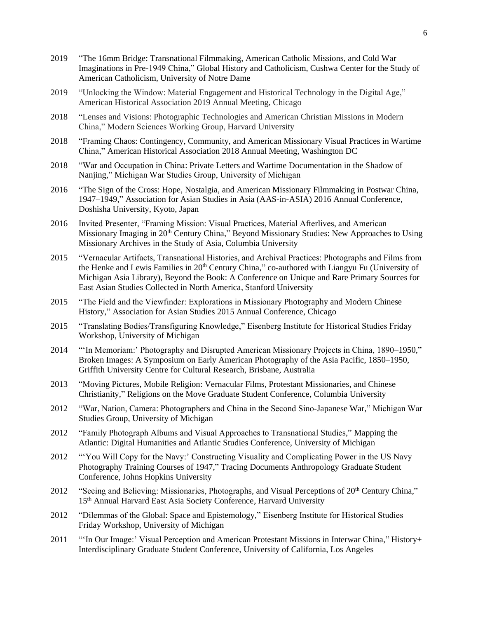- 2019 "The 16mm Bridge: Transnational Filmmaking, American Catholic Missions, and Cold War Imaginations in Pre-1949 China," Global History and Catholicism, Cushwa Center for the Study of American Catholicism, University of Notre Dame
- 2019 "Unlocking the Window: Material Engagement and Historical Technology in the Digital Age," American Historical Association 2019 Annual Meeting, Chicago
- 2018 "Lenses and Visions: Photographic Technologies and American Christian Missions in Modern China," Modern Sciences Working Group, Harvard University
- 2018 "Framing Chaos: Contingency, Community, and American Missionary Visual Practices in Wartime China," American Historical Association 2018 Annual Meeting, Washington DC
- 2018 "War and Occupation in China: Private Letters and Wartime Documentation in the Shadow of Nanjing," Michigan War Studies Group, University of Michigan
- 2016 "The Sign of the Cross: Hope, Nostalgia, and American Missionary Filmmaking in Postwar China, 1947–1949," Association for Asian Studies in Asia (AAS-in-ASIA) 2016 Annual Conference, Doshisha University, Kyoto, Japan
- 2016 Invited Presenter, "Framing Mission: Visual Practices, Material Afterlives, and American Missionary Imaging in 20<sup>th</sup> Century China," Beyond Missionary Studies: New Approaches to Using Missionary Archives in the Study of Asia, Columbia University
- 2015 "Vernacular Artifacts, Transnational Histories, and Archival Practices: Photographs and Films from the Henke and Lewis Families in 20<sup>th</sup> Century China," co-authored with Liangyu Fu (University of Michigan Asia Library), Beyond the Book: A Conference on Unique and Rare Primary Sources for East Asian Studies Collected in North America, Stanford University
- 2015 "The Field and the Viewfinder: Explorations in Missionary Photography and Modern Chinese History," Association for Asian Studies 2015 Annual Conference, Chicago
- 2015 "Translating Bodies/Transfiguring Knowledge," Eisenberg Institute for Historical Studies Friday Workshop, University of Michigan
- 2014 "'In Memoriam:' Photography and Disrupted American Missionary Projects in China, 1890–1950," Broken Images: A Symposium on Early American Photography of the Asia Pacific, 1850–1950, Griffith University Centre for Cultural Research, Brisbane, Australia
- 2013 "Moving Pictures, Mobile Religion: Vernacular Films, Protestant Missionaries, and Chinese Christianity," Religions on the Move Graduate Student Conference, Columbia University
- 2012 "War, Nation, Camera: Photographers and China in the Second Sino-Japanese War," Michigan War Studies Group, University of Michigan
- 2012 "Family Photograph Albums and Visual Approaches to Transnational Studies," Mapping the Atlantic: Digital Humanities and Atlantic Studies Conference, University of Michigan
- 2012 "'You Will Copy for the Navy:' Constructing Visuality and Complicating Power in the US Navy Photography Training Courses of 1947," Tracing Documents Anthropology Graduate Student Conference, Johns Hopkins University
- 2012 "Seeing and Believing: Missionaries, Photographs, and Visual Perceptions of 20<sup>th</sup> Century China," 15<sup>th</sup> Annual Harvard East Asia Society Conference, Harvard University
- 2012 "Dilemmas of the Global: Space and Epistemology," Eisenberg Institute for Historical Studies Friday Workshop, University of Michigan
- 2011 "'In Our Image:' Visual Perception and American Protestant Missions in Interwar China," History+ Interdisciplinary Graduate Student Conference, University of California, Los Angeles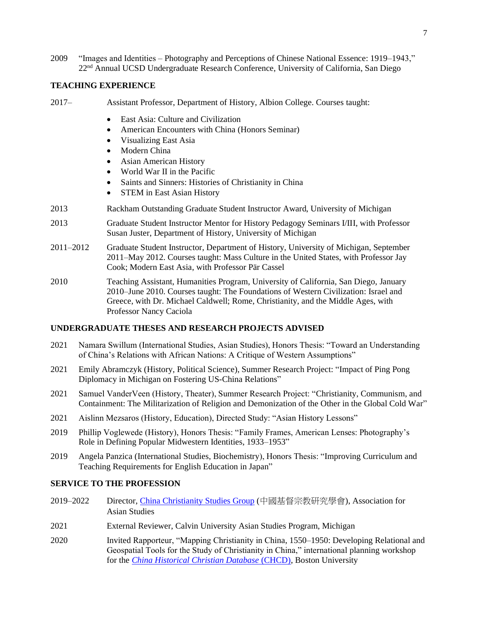2009 "Images and Identities – Photography and Perceptions of Chinese National Essence: 1919–1943," 22nd Annual UCSD Undergraduate Research Conference, University of California, San Diego

### **TEACHING EXPERIENCE**

- 2017– Assistant Professor, Department of History, Albion College. Courses taught:
	- East Asia: Culture and Civilization
	- American Encounters with China (Honors Seminar)
	- Visualizing East Asia
	- Modern China
	- Asian American History
	- World War II in the Pacific
	- Saints and Sinners: Histories of Christianity in China
	- STEM in East Asian History
- 2013 Rackham Outstanding Graduate Student Instructor Award, University of Michigan
- 2013 Graduate Student Instructor Mentor for History Pedagogy Seminars I/III, with Professor Susan Juster, Department of History, University of Michigan
- 2011–2012 Graduate Student Instructor, Department of History, University of Michigan, September 2011–May 2012. Courses taught: Mass Culture in the United States, with Professor Jay Cook; Modern East Asia, with Professor Pär Cassel
- 2010 Teaching Assistant, Humanities Program, University of California, San Diego, January 2010–June 2010. Courses taught: The Foundations of Western Civilization: Israel and Greece, with Dr. Michael Caldwell; Rome, Christianity, and the Middle Ages, with Professor Nancy Caciola

### **UNDERGRADUATE THESES AND RESEARCH PROJECTS ADVISED**

- 2021 Namara Swillum (International Studies, Asian Studies), Honors Thesis: "Toward an Understanding of China's Relations with African Nations: A Critique of Western Assumptions"
- 2021 Emily Abramczyk (History, Political Science), Summer Research Project: "Impact of Ping Pong Diplomacy in Michigan on Fostering US-China Relations"
- 2021 Samuel VanderVeen (History, Theater), Summer Research Project: "Christianity, Communism, and Containment: The Militarization of Religion and Demonization of the Other in the Global Cold War"
- 2021 Aislinn Mezsaros (History, Education), Directed Study: "Asian History Lessons"
- 2019 Phillip Voglewede (History), Honors Thesis: "Family Frames, American Lenses: Photography's Role in Defining Popular Midwestern Identities, 1933–1953"
- 2019 Angela Panzica (International Studies, Biochemistry), Honors Thesis: "Improving Curriculum and Teaching Requirements for English Education in Japan"

### **SERVICE TO THE PROFESSION**

- 2019–2022 Director, [China Christianity Studies Group](http://chinachristianitystudies.org/) (中國基督宗教研究學會), Association for Asian Studies
- 2021 External Reviewer, Calvin University Asian Studies Program, Michigan
- 2020 Invited Rapporteur, "Mapping Christianity in China, 1550–1950: Developing Relational and Geospatial Tools for the Study of Christianity in China," international planning workshop for the *[China Historical Christian Database](https://chcdatabase.com/)* (CHCD), Boston University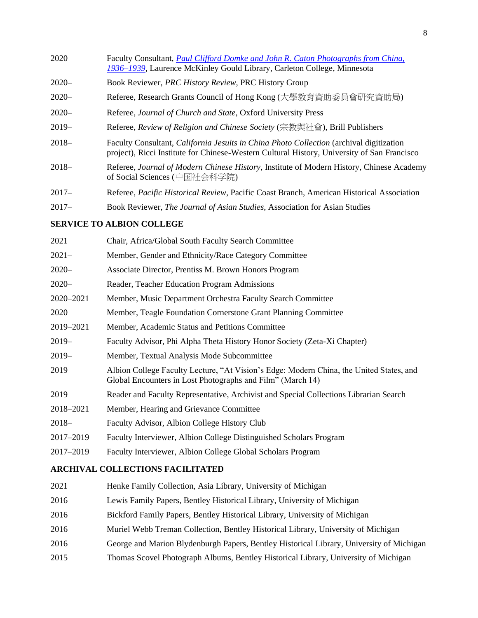| 2020     | Faculty Consultant, Paul Clifford Domke and John R. Caton Photographs from China,<br>1936–1939, Laurence McKinley Gould Library, Carleton College, Minnesota                                  |
|----------|-----------------------------------------------------------------------------------------------------------------------------------------------------------------------------------------------|
| $2020 -$ | Book Reviewer, PRC History Review, PRC History Group                                                                                                                                          |
| $2020 -$ | Referee, Research Grants Council of Hong Kong (大學教育資助委員會研究資助局)                                                                                                                                |
| $2020 -$ | Referee, Journal of Church and State, Oxford University Press                                                                                                                                 |
| $2019-$  | Referee, Review of Religion and Chinese Society (宗教與社會), Brill Publishers                                                                                                                     |
| $2018-$  | Faculty Consultant, <i>California Jesuits in China Photo Collection</i> (archival digitization<br>project), Ricci Institute for Chinese-Western Cultural History, University of San Francisco |
| $2018-$  | Referee, Journal of Modern Chinese History, Institute of Modern History, Chinese Academy<br>of Social Sciences (中国社会科学院)                                                                      |
| $2017-$  | Referee, Pacific Historical Review, Pacific Coast Branch, American Historical Association                                                                                                     |
| $2017-$  | Book Reviewer, <i>The Journal of Asian Studies</i> , Association for Asian Studies                                                                                                            |

# **SERVICE TO ALBION COLLEGE**

| Chair, Africa/Global South Faculty Search Committee                                                                                                   |
|-------------------------------------------------------------------------------------------------------------------------------------------------------|
| Member, Gender and Ethnicity/Race Category Committee                                                                                                  |
| Associate Director, Prentiss M. Brown Honors Program                                                                                                  |
| Reader, Teacher Education Program Admissions                                                                                                          |
| Member, Music Department Orchestra Faculty Search Committee                                                                                           |
| Member, Teagle Foundation Cornerstone Grant Planning Committee                                                                                        |
| Member, Academic Status and Petitions Committee                                                                                                       |
| Faculty Advisor, Phi Alpha Theta History Honor Society (Zeta-Xi Chapter)                                                                              |
| Member, Textual Analysis Mode Subcommittee                                                                                                            |
| Albion College Faculty Lecture, "At Vision's Edge: Modern China, the United States, and<br>Global Encounters in Lost Photographs and Film" (March 14) |
| Reader and Faculty Representative, Archivist and Special Collections Librarian Search                                                                 |
| Member, Hearing and Grievance Committee                                                                                                               |
| Faculty Advisor, Albion College History Club                                                                                                          |
| Faculty Interviewer, Albion College Distinguished Scholars Program                                                                                    |
| Faculty Interviewer, Albion College Global Scholars Program                                                                                           |
|                                                                                                                                                       |

# **ARCHIVAL COLLECTIONS FACILITATED**

- 2021 Henke Family Collection, Asia Library, University of Michigan
- 2016 Lewis Family Papers, Bentley Historical Library, University of Michigan
- 2016 Bickford Family Papers, Bentley Historical Library, University of Michigan
- 2016 Muriel Webb Treman Collection, Bentley Historical Library, University of Michigan
- 2016 George and Marion Blydenburgh Papers, Bentley Historical Library, University of Michigan
- 2015 Thomas Scovel Photograph Albums, Bentley Historical Library, University of Michigan